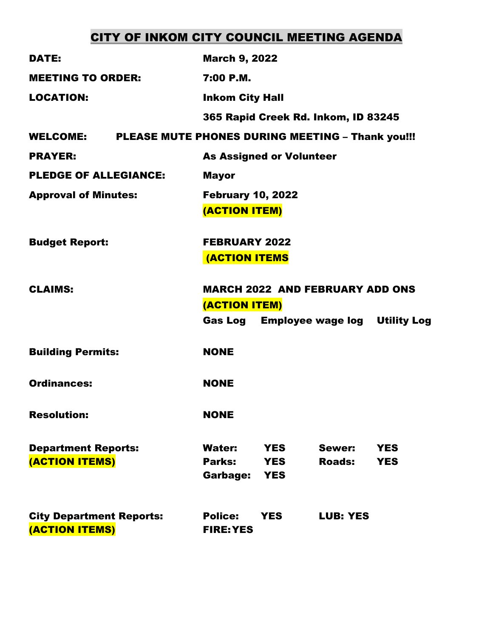# CITY OF INKOM CITY COUNCIL MEETING AGENDA

| <b>DATE:</b>                                      | <b>March 9, 2022</b>                                                                                    |                         |                          |
|---------------------------------------------------|---------------------------------------------------------------------------------------------------------|-------------------------|--------------------------|
| <b>MEETING TO ORDER:</b>                          | 7:00 P.M.                                                                                               |                         |                          |
| <b>LOCATION:</b>                                  | <b>Inkom City Hall</b>                                                                                  |                         |                          |
|                                                   | 365 Rapid Creek Rd. Inkom, ID 83245                                                                     |                         |                          |
| <b>WELCOME:</b>                                   | PLEASE MUTE PHONES DURING MEETING - Thank you!!!                                                        |                         |                          |
| <b>PRAYER:</b>                                    | <b>As Assigned or Volunteer</b>                                                                         |                         |                          |
| <b>PLEDGE OF ALLEGIANCE:</b>                      | <b>Mayor</b>                                                                                            |                         |                          |
| <b>Approval of Minutes:</b>                       | <b>February 10, 2022</b><br>(ACTION ITEM)                                                               |                         |                          |
| <b>Budget Report:</b>                             | <b>FEBRUARY 2022</b><br><b>(ACTION ITEMS</b>                                                            |                         |                          |
| <b>CLAIMS:</b>                                    | <b>MARCH 2022 AND FEBRUARY ADD ONS</b><br>(ACTION ITEM)<br><b>Gas Log Employee wage log Utility Log</b> |                         |                          |
| <b>Building Permits:</b>                          | <b>NONE</b>                                                                                             |                         |                          |
| <b>Ordinances:</b>                                | <b>NONE</b>                                                                                             |                         |                          |
| <b>Resolution:</b>                                | <b>NONE</b>                                                                                             |                         |                          |
| <b>Department Reports:</b><br>(ACTION ITEMS)      | <b>Water:</b><br><b>YES</b><br>Parks:<br><b>YES</b><br>Garbage:<br><b>YES</b>                           | Sewer:<br><b>Roads:</b> | <b>YES</b><br><b>YES</b> |
| <b>City Department Reports:</b><br>(ACTION ITEMS) | <b>Police:</b><br><b>YES</b><br><b>FIRE: YES</b>                                                        | <b>LUB: YES</b>         |                          |